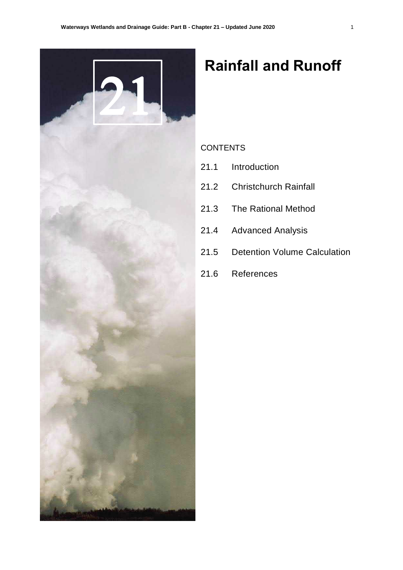

# **Rainfall and Runoff**

# **CONTENTS**

- 21.1 Introduction
- 21.2 Christchurch Rainfall
- 21.3 The Rational Method
- 21.4 Advanced Analysis
- 21.5 Detention Volume Calculation
- 21.6 References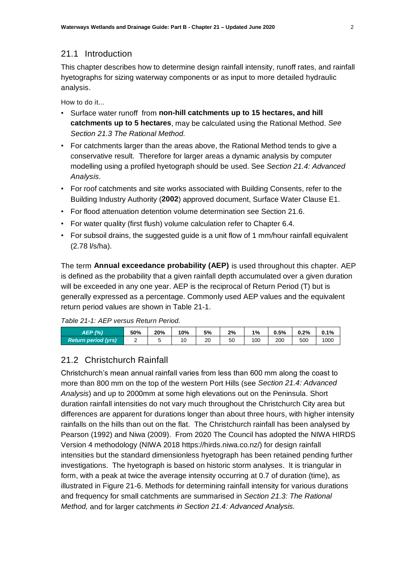# 21.1 Introduction

This chapter describes how to determine design rainfall intensity, runoff rates, and rainfall hyetographs for sizing waterway components or as input to more detailed hydraulic analysis.

How to do it...

- Surface water runoff from **non-hill catchments up to 15 hectares, and hill catchments up to 5 hectares**, may be calculated using the Rational Method. *See Section 21.3 The Rational Method.*
- For catchments larger than the areas above, the Rational Method tends to give a conservative result. Therefore for larger areas a dynamic analysis by computer modelling using a profiled hyetograph should be used. See *Section 21.4: Advanced Analysis.*
- For roof catchments and site works associated with Building Consents, refer to the Building Industry Authority (**2002**) approved document, Surface Water Clause E1.
- For flood attenuation detention volume determination see Section 21.6.
- For water quality (first flush) volume calculation refer to Chapter 6.4.
- For subsoil drains, the suggested quide is a unit flow of 1 mm/hour rainfall equivalent (2.78 l/s/ha).

The term **Annual exceedance probability (AEP)** is used throughout this chapter. AEP is defined as the probability that a given rainfall depth accumulated over a given duration will be exceeded in any one year. AEP is the reciprocal of Return Period (T) but is generally expressed as a percentage. Commonly used AEP values and the equivalent return period values are shown in Table 21-1.

*Table 21-1: AEP versus Return Period.*

| AEP (%)                    | 50% | 20% | 10% | 5% | $2\%$ | 1%  | 0.5% | 0.2% | 0.1% |
|----------------------------|-----|-----|-----|----|-------|-----|------|------|------|
| <b>Return period (yrs)</b> | -   |     | ັ   | 20 | 50    | 100 | 200  | 500  | 1000 |

# 21.2 Christchurch Rainfall

Christchurch's mean annual rainfall varies from less than 600 mm along the coast to more than 800 mm on the top of the western Port Hills (see *Section 21.4: Advanced Analysis*) and up to 2000mm at some high elevations out on the Peninsula. Short duration rainfall intensities do not vary much throughout the Christchurch City area but differences are apparent for durations longer than about three hours, with higher intensity rainfalls on the hills than out on the flat. The Christchurch rainfall has been analysed by Pearson (1992) and Niwa (2009). From 2020 The Council has adopted the NIWA HIRDS Version 4 methodology (NIWA 2018 https://hirds.niwa.co.nz/) for design rainfall intensities but the standard dimensionless hyetograph has been retained pending further investigations. The hyetograph is based on historic storm analyses. It is triangular in form, with a peak at twice the average intensity occurring at 0.7 of duration (time), as illustrated in Figure 21-6. Methods for determining rainfall intensity for various durations and frequency for small catchments are summarised in *Section 21.3: The Rational Method,* and for larger catchments *in Section 21.4: Advanced Analysis.*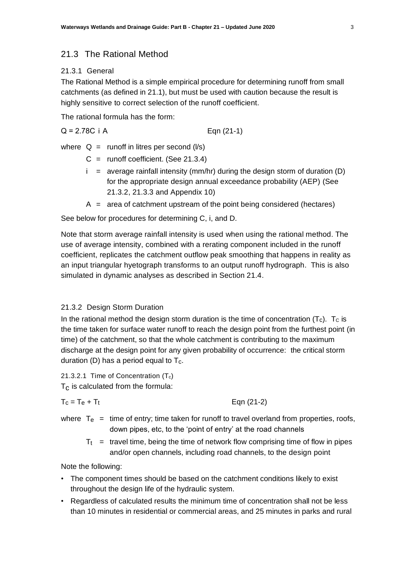# 21.3 The Rational Method

# 21.3.1 General

The Rational Method is a simple empirical procedure for determining runoff from small catchments (as defined in 21.1), but must be used with caution because the result is highly sensitive to correct selection of the runoff coefficient.

The rational formula has the form:

$$
Q = 2.78C
$$
 i A  $Eqn (21-1)$ 

where  $Q =$  runoff in litres per second ( $\sqrt{s}$ )

- $C =$  runoff coefficient. (See 21.3.4)
- $i =$  average rainfall intensity (mm/hr) during the design storm of duration (D) for the appropriate design annual exceedance probability (AEP) (See 21.3.2, 21.3.3 and Appendix 10)
- $A =$  area of catchment upstream of the point being considered (hectares)

See below for procedures for determining C, i, and D.

Note that storm average rainfall intensity is used when using the rational method. The use of average intensity, combined with a rerating component included in the runoff coefficient, replicates the catchment outflow peak smoothing that happens in reality as an input triangular hyetograph transforms to an output runoff hydrograph. This is also simulated in dynamic analyses as described in Section 21.4.

## 21.3.2 Design Storm Duration

In the rational method the design storm duration is the time of concentration  $(T_c)$ .  $T_c$  is the time taken for surface water runoff to reach the design point from the furthest point (in time) of the catchment, so that the whole catchment is contributing to the maximum discharge at the design point for any given probability of occurrence: the critical storm duration (D) has a period equal to  $T_c$ .

21.3.2.1 Time of Concentration  $(T_c)$  $T<sub>C</sub>$  is calculated from the formula:

$$
T_c = T_e + T_t
$$

Eqn  $(21-2)$ 

- where  $T_{e}$  = time of entry; time taken for runoff to travel overland from properties, roofs, down pipes, etc, to the 'point of entry' at the road channels
	- $T<sub>t</sub>$  = travel time, being the time of network flow comprising time of flow in pipes and/or open channels, including road channels, to the design point

Note the following:

- The component times should be based on the catchment conditions likely to exist throughout the design life of the hydraulic system.
- Regardless of calculated results the minimum time of concentration shall not be less than 10 minutes in residential or commercial areas, and 25 minutes in parks and rural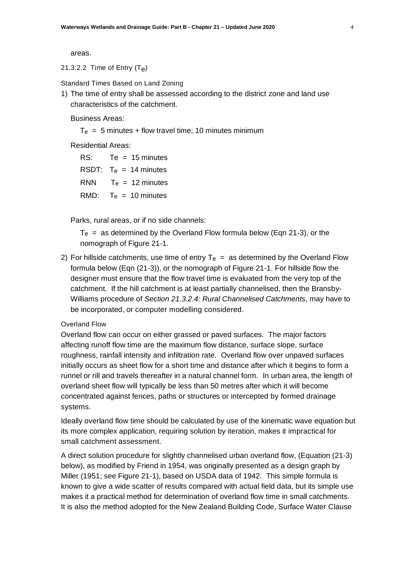areas.

21.3.2.2 Time of Entry  $(T_e)$ 

Standard Times Based on Land Zoning

1) The time of entry shall be assessed according to the district zone and land use characteristics of the catchment.

Business Areas:

 $T_e$  = 5 minutes + flow travel time; 10 minutes minimum

Residential Areas:

| RS:        | $Te = 15$ minutes        |
|------------|--------------------------|
|            | RSDT: $T_e = 14$ minutes |
| <b>RNN</b> | $T_e$ = 12 minutes       |
|            | RMD: $T_e = 10$ minutes  |

Parks, rural areas, or if no side channels:

 $T_e$  = as determined by the Overland Flow formula below (Eqn 21-3), or the nomograph of Figure 21-1.

2) For hillside catchments, use time of entry  $T_e$  = as determined by the Overland Flow formula below (Eqn (21-3)), or the nomograph of Figure 21-1. For hillside flow the designer must ensure that the flow travel time is evaluated from the very top of the catchment. If the hill catchment is at least partially channelised, then the Bransby-Williams procedure of *Section 21.3.2.4: Rural Channelised Catchments*, may have to be incorporated, or computer modelling considered.

# Overland Flow

Overland flow can occur on either grassed or paved surfaces. The major factors affecting runoff flow time are the maximum flow distance, surface slope, surface roughness, rainfall intensity and infiltration rate. Overland flow over unpaved surfaces initially occurs as sheet flow for a short time and distance after which it begins to form a runnel or rill and travels thereafter in a natural channel form. In urban area, the length of overland sheet flow will typically be less than 50 metres after which it will become concentrated against fences, paths or structures or intercepted by formed drainage systems.

Ideally overland flow time should be calculated by use of the kinematic wave equation but its more complex application, requiring solution by iteration, makes it impractical for small catchment assessment.

A direct solution procedure for slightly channelised urban overland flow, (Equation (21-3) below), as modified by Friend in 1954, was originally presented as a design graph by Miller (1951; see Figure 21-1), based on USDA data of 1942. This simple formula is known to give a wide scatter of results compared with actual field data, but its simple use makes it a practical method for determination of overland flow time in small catchments. It is also the method adopted for the New Zealand Building Code, Surface Water Clause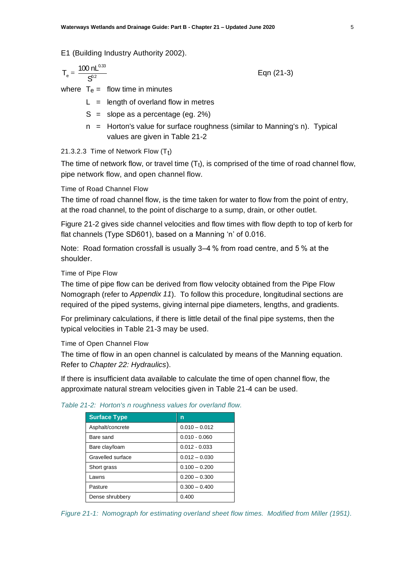E1 (Building Industry Authority 2002).

$$
T_e = \frac{100 \text{ nL}^{0.33}}{S^{0.2}}
$$
 Eqn (21-3)

where  $T_e$  = flow time in minutes

 $L =$  length of overland flow in metres

- $S =$  slope as a percentage (eg. 2%)
- n = Horton's value for surface roughness (similar to Manning's n). Typical values are given in Table 21-2

# 21.3.2.3 Time of Network Flow  $(\mathsf{T}_\mathsf{t})$

The time of network flow, or travel time  $(T<sub>t</sub>)$ , is comprised of the time of road channel flow, pipe network flow, and open channel flow.

# Time of Road Channel Flow

The time of road channel flow, is the time taken for water to flow from the point of entry, at the road channel, to the point of discharge to a sump, drain, or other outlet.

Figure 21-2 gives side channel velocities and flow times with flow depth to top of kerb for flat channels (Type SD601), based on a Manning 'n' of 0.016.

Note: Road formation crossfall is usually 3–4 % from road centre, and 5 % at the shoulder.

Time of Pipe Flow

The time of pipe flow can be derived from flow velocity obtained from the Pipe Flow Nomograph (refer to *Appendix 11*). To follow this procedure, longitudinal sections are required of the piped systems, giving internal pipe diameters, lengths, and gradients.

For preliminary calculations, if there is little detail of the final pipe systems, then the typical velocities in Table 21-3 may be used.

Time of Open Channel Flow

The time of flow in an open channel is calculated by means of the Manning equation. Refer to *Chapter 22: Hydraulics*).

If there is insufficient data available to calculate the time of open channel flow, the approximate natural stream velocities given in Table 21-4 can be used.

| <b>Surface Type</b> | n               |
|---------------------|-----------------|
| Asphalt/concrete    | $0.010 - 0.012$ |
| Bare sand           | $0.010 - 0.060$ |
| Bare clay/loam      | $0.012 - 0.033$ |
| Gravelled surface   | $0.012 - 0.030$ |
| Short grass         | $0.100 - 0.200$ |
| Lawns               | $0.200 - 0.300$ |
| Pasture             | $0.300 - 0.400$ |
| Dense shrubbery     | 0.400           |

#### *Table 21-2: Horton's n roughness values for overland flow.*

*Figure 21-1: Nomograph for estimating overland sheet flow times. Modified from Miller (1951).*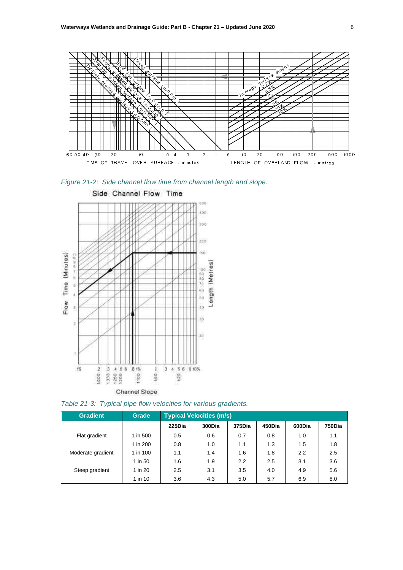





*Table 21-3: Typical pipe flow velocities for various gradients.*

| <b>Gradient</b>   | <b>Grade</b> | <b>Typical Velocities (m/s)</b> |        |        |        |        |        |
|-------------------|--------------|---------------------------------|--------|--------|--------|--------|--------|
|                   |              | 225Dia                          | 300Dia | 375Dia | 450Dia | 600Dia | 750Dia |
| Flat gradient     | 1 in 500     | 0.5                             | 0.6    | 0.7    | 0.8    | 1.0    | 1.1    |
|                   | 1 in 200     | 0.8                             | 1.0    | 1.1    | 1.3    | 1.5    | 1.8    |
| Moderate gradient | 1 in 100     | 1.1                             | 1.4    | 1.6    | 1.8    | 2.2    | 2.5    |
|                   | 1 in 50      | 1.6                             | 1.9    | 2.2    | 2.5    | 3.1    | 3.6    |
| Steep gradient    | 1 in 20      | 2.5                             | 3.1    | 3.5    | 4.0    | 4.9    | 5.6    |
|                   | 1 in 10      | 3.6                             | 4.3    | 5.0    | 5.7    | 6.9    | 8.0    |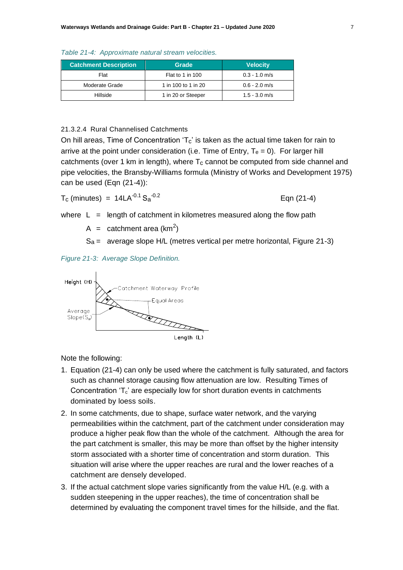| Table 21-4: Approximate natural stream velocities. |  |  |  |  |  |
|----------------------------------------------------|--|--|--|--|--|
|----------------------------------------------------|--|--|--|--|--|

| <b>Catchment Description</b> | Grade               | <b>Velocity</b> |
|------------------------------|---------------------|-----------------|
| Flat                         | Flat to 1 in 100    | $0.3 - 1.0$ m/s |
| Moderate Grade               | 1 in 100 to 1 in 20 | $0.6 - 2.0$ m/s |
| Hillside                     | 1 in 20 or Steeper  | $1.5 - 3.0$ m/s |

# 21.3.2.4 Rural Channelised Catchments

On hill areas, Time of Concentration ' $T_c$ ' is taken as the actual time taken for rain to arrive at the point under consideration (i.e. Time of Entry,  $T_e = 0$ ). For larger hill catchments (over 1 km in length), where  $T_c$  cannot be computed from side channel and pipe velocities, the Bransby-Williams formula (Ministry of Works and Development 1975) can be used (Eqn (21-4)):

$$
T_c \text{ (minutes)} = 14LA^{-0.1} S_a^{-0.2} \qquad \qquad \text{Eqn (21-4)}
$$

where  $L =$  length of catchment in kilometres measured along the flow path

A = catchment area (km<sup>2</sup>)

 $S_a =$  average slope H/L (metres vertical per metre horizontal, Figure 21-3)

*Figure 21-3: Average Slope Definition.*



Note the following:

- 1. Equation (21-4) can only be used where the catchment is fully saturated, and factors such as channel storage causing flow attenuation are low. Resulting Times of Concentration 'T<sub>c</sub>' are especially low for short duration events in catchments dominated by loess soils.
- 2. In some catchments, due to shape, surface water network, and the varying permeabilities within the catchment, part of the catchment under consideration may produce a higher peak flow than the whole of the catchment. Although the area for the part catchment is smaller, this may be more than offset by the higher intensity storm associated with a shorter time of concentration and storm duration. This situation will arise where the upper reaches are rural and the lower reaches of a catchment are densely developed.
- 3. If the actual catchment slope varies significantly from the value H/L (e.g. with a sudden steepening in the upper reaches), the time of concentration shall be determined by evaluating the component travel times for the hillside, and the flat.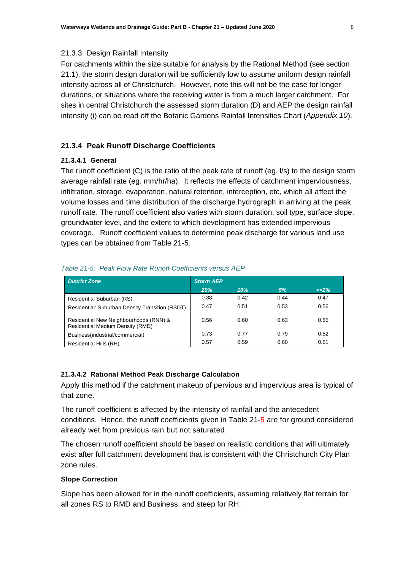### 21.3.3 Design Rainfall Intensity

For catchments within the size suitable for analysis by the Rational Method (see section 21.1), the storm design duration will be sufficiently low to assume uniform design rainfall intensity across all of Christchurch. However, note this will not be the case for longer durations, or situations where the receiving water is from a much larger catchment. For sites in central Christchurch the assessed storm duration (D) and AEP the design rainfall intensity (i) can be read off the Botanic Gardens Rainfall Intensities Chart (*Appendix 10*).

# **21.3.4 Peak Runoff Discharge Coefficients**

### **21.3.4.1 General**

The runoff coefficient (C) is the ratio of the peak rate of runoff (eg. l/s) to the design storm average rainfall rate (eg. mm/hr/ha). It reflects the effects of catchment imperviousness, infiltration, storage, evaporation, natural retention, interception, etc, which all affect the volume losses and time distribution of the discharge hydrograph in arriving at the peak runoff rate. The runoff coefficient also varies with storm duration, soil type, surface slope, groundwater level, and the extent to which development has extended impervious coverage. Runoff coefficient values to determine peak discharge for various land use types can be obtained from Table 21-5.

| <b>District Zone</b>                                                              | <b>Storm AEP</b> |      |      |           |
|-----------------------------------------------------------------------------------|------------------|------|------|-----------|
|                                                                                   | 20%              | 10%  | 5%   | $\leq$ 2% |
| Residential Suburban (RS)                                                         | 0.38             | 0.42 | 0.44 | 0.47      |
| Residential: Suburban Density Transition (RSDT)                                   | 0.47             | 0.51 | 0.53 | 0.56      |
| Residential New Neighbourhoods (RNN) &<br><b>Residential Medium Density (RMD)</b> | 0.56             | 0.60 | 0.63 | 0.65      |
| Business(industrial/commercial)                                                   | 0.73             | 0.77 | 0.79 | 0.82      |
| Residential Hills (RH)                                                            | 0.57             | 0.59 | 0.60 | 0.61      |

#### *Table 21-5: Peak Flow Rate Runoff Coefficients versus AEP*

#### **21.3.4.2 Rational Method Peak Discharge Calculation**

Apply this method if the catchment makeup of pervious and impervious area is typical of that zone.

The runoff coefficient is affected by the intensity of rainfall and the antecedent conditions. Hence, the runoff coefficients given in Table 21-5 are for ground considered already wet from previous rain but not saturated.

The chosen runoff coefficient should be based on realistic conditions that will ultimately exist after full catchment development that is consistent with the Christchurch City Plan zone rules.

# **Slope Correction**

Slope has been allowed for in the runoff coefficients, assuming relatively flat terrain for all zones RS to RMD and Business, and steep for RH.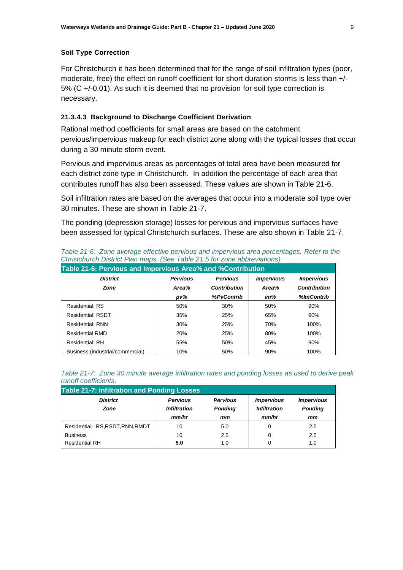### **Soil Type Correction**

For Christchurch it has been determined that for the range of soil infiltration types (poor, moderate, free) the effect on runoff coefficient for short duration storms is less than  $+/-$ 5% (C +/-0.01). As such it is deemed that no provision for soil type correction is necessary.

# **21.3.4.3 Background to Discharge Coefficient Derivation**

Rational method coefficients for small areas are based on the catchment pervious/impervious makeup for each district zone along with the typical losses that occur during a 30 minute storm event.

Pervious and impervious areas as percentages of total area have been measured for each district zone type in Christchurch. In addition the percentage of each area that contributes runoff has also been assessed. These values are shown in Table 21-6.

Soil infiltration rates are based on the averages that occur into a moderate soil type over 30 minutes. These are shown in Table 21-7.

The ponding (depression storage) losses for pervious and impervious surfaces have been assessed for typical Christchurch surfaces. These are also shown in Table 21-7.

| <u> Uniisichurch District Pian maps, i see Table 21.5 for zone abbreviations).</u> |                 |                     |                   |                     |  |  |  |
|------------------------------------------------------------------------------------|-----------------|---------------------|-------------------|---------------------|--|--|--|
| Table 21-6: Pervious and Impervious Area% and %Contribution                        |                 |                     |                   |                     |  |  |  |
| <b>District</b>                                                                    | <b>Pervious</b> | <b>Pervious</b>     | <b>Impervious</b> | <b>Impervious</b>   |  |  |  |
| <b>Zone</b>                                                                        | Area%           | <b>Contribution</b> | Area%             | <b>Contribution</b> |  |  |  |
|                                                                                    | pv%             | %PvContrib          | im%               | %ImContrib          |  |  |  |
| Residential: RS                                                                    | 50%             | 30%                 | 50%               | 90%                 |  |  |  |
| <b>Residential: RSDT</b>                                                           | 35%             | 25%                 | 65%               | 90%                 |  |  |  |
| <b>Residential: RNN</b>                                                            | 30%             | 25%                 | 70%               | 100%                |  |  |  |
| <b>Residential RMD</b>                                                             | 20%             | 25%                 | 80%               | 100%                |  |  |  |
| Residential: RH                                                                    | 55%             | 50%                 | 45%               | 90%                 |  |  |  |
| Business (industrial/commercial)                                                   | 10%             | 50%                 | 90%               | 100%                |  |  |  |

*Table 21-6: Zone average effective pervious and impervious area percentages. Refer to the Christchurch District Plan maps, (See Table 21.5 for zone abbreviations).*

| 1.911011.00011101011001                            |                     |                 |                     |                          |  |  |  |
|----------------------------------------------------|---------------------|-----------------|---------------------|--------------------------|--|--|--|
| <b>Table 21-7: Infiltration and Ponding Losses</b> |                     |                 |                     |                          |  |  |  |
| <b>District</b>                                    | <b>Pervious</b>     | <b>Pervious</b> | <b>Impervious</b>   | <i><b>Impervious</b></i> |  |  |  |
| <b>Zone</b>                                        | <b>Infiltration</b> | <b>Ponding</b>  | <b>Infiltration</b> | <b>Ponding</b>           |  |  |  |
|                                                    | mm/hr               | mm              | mm/hr               | mm                       |  |  |  |
| Residential: RS, RSDT, RNN, RMDT                   | 10                  | 5.0             |                     | 2.5                      |  |  |  |
| <b>Business</b>                                    | 10                  | 2.5             | 0                   | 2.5                      |  |  |  |
| <b>Residential RH</b>                              | 5.0                 | 1.0             |                     | 1.0                      |  |  |  |

*Table 21-7: Zone 30 minute average infiltration rates and ponding losses as used to derive peak runoff coefficients.*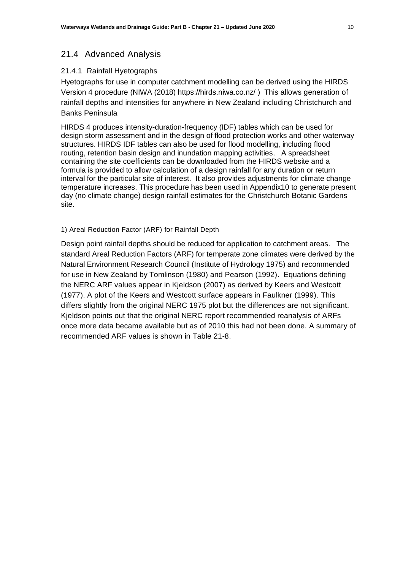# 21.4 Advanced Analysis

# 21.4.1 Rainfall Hyetographs

Hyetographs for use in computer catchment modelling can be derived using the HIRDS Version 4 procedure (NIWA (2018)<https://hirds.niwa.co.nz/> ) This allows generation of rainfall depths and intensities for anywhere in New Zealand including Christchurch and Banks Peninsula

HIRDS 4 produces intensity-duration-frequency (IDF) tables which can be used for design storm assessment and in the design of flood protection works and other waterway structures. HIRDS IDF tables can also be used for flood modelling, including flood routing, retention basin design and inundation mapping activities. A spreadsheet containing the site coefficients can be downloaded from the HIRDS website and a formula is provided to allow calculation of a design rainfall for any duration or return interval for the particular site of interest. It also provides adjustments for climate change temperature increases. This procedure has been used in Appendix10 to generate present day (no climate change) design rainfall estimates for the Christchurch Botanic Gardens site.

# 1) Areal Reduction Factor (ARF) for Rainfall Depth

Design point rainfall depths should be reduced for application to catchment areas. The standard Areal Reduction Factors (ARF) for temperate zone climates were derived by the Natural Environment Research Council (Institute of Hydrology 1975) and recommended for use in New Zealand by Tomlinson (1980) and Pearson (1992). Equations defining the NERC ARF values appear in Kjeldson (2007) as derived by Keers and Westcott (1977). A plot of the Keers and Westcott surface appears in Faulkner (1999). This differs slightly from the original NERC 1975 plot but the differences are not significant. Kjeldson points out that the original NERC report recommended reanalysis of ARFs once more data became available but as of 2010 this had not been done. A summary of recommended ARF values is shown in Table 21-8.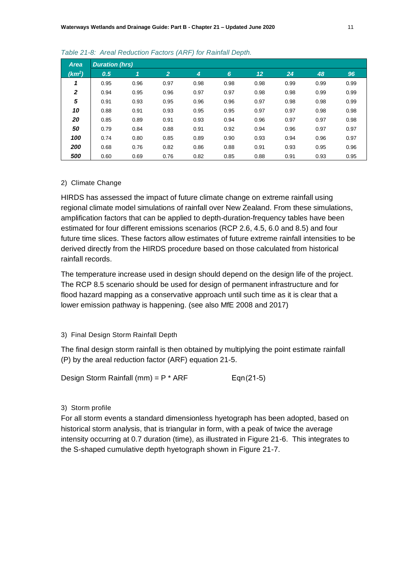| <b>Area</b>        | <b>Duration (hrs)</b> |      |                |                |      |      |      |      |      |
|--------------------|-----------------------|------|----------------|----------------|------|------|------|------|------|
| (km <sup>2</sup> ) | 0.5                   | 1    | $\overline{2}$ | $\overline{4}$ | 6    | 12   | 24   | 48   | 96   |
|                    | 0.95                  | 0.96 | 0.97           | 0.98           | 0.98 | 0.98 | 0.99 | 0.99 | 0.99 |
| $\mathbf{2}$       | 0.94                  | 0.95 | 0.96           | 0.97           | 0.97 | 0.98 | 0.98 | 0.99 | 0.99 |
| 5                  | 0.91                  | 0.93 | 0.95           | 0.96           | 0.96 | 0.97 | 0.98 | 0.98 | 0.99 |
| 10                 | 0.88                  | 0.91 | 0.93           | 0.95           | 0.95 | 0.97 | 0.97 | 0.98 | 0.98 |
| 20                 | 0.85                  | 0.89 | 0.91           | 0.93           | 0.94 | 0.96 | 0.97 | 0.97 | 0.98 |
| 50                 | 0.79                  | 0.84 | 0.88           | 0.91           | 0.92 | 0.94 | 0.96 | 0.97 | 0.97 |
| 100                | 0.74                  | 0.80 | 0.85           | 0.89           | 0.90 | 0.93 | 0.94 | 0.96 | 0.97 |
| 200                | 0.68                  | 0.76 | 0.82           | 0.86           | 0.88 | 0.91 | 0.93 | 0.95 | 0.96 |
| 500                | 0.60                  | 0.69 | 0.76           | 0.82           | 0.85 | 0.88 | 0.91 | 0.93 | 0.95 |

#### *Table 21-8: Areal Reduction Factors (ARF) for Rainfall Depth.*

#### 2) Climate Change

HIRDS has assessed the impact of future climate change on extreme rainfall using regional climate model simulations of rainfall over New Zealand. From these simulations, amplification factors that can be applied to depth-duration-frequency tables have been estimated for four different emissions scenarios (RCP 2.6, 4.5, 6.0 and 8.5) and four future time slices. These factors allow estimates of future extreme rainfall intensities to be derived directly from the HIRDS procedure based on those calculated from historical rainfall records.

The temperature increase used in design should depend on the design life of the project. The RCP 8.5 scenario should be used for design of permanent infrastructure and for flood hazard mapping as a conservative approach until such time as it is clear that a lower emission pathway is happening. (see also MfE 2008 and 2017)

### 3) Final Design Storm Rainfall Depth

The final design storm rainfall is then obtained by multiplying the point estimate rainfall (P) by the areal reduction factor (ARF) equation 21-5.

Design Storm Rainfall (mm) =  $P * ARF$  Eqn $(21-5)$ 

#### 3) Storm profile

For all storm events a standard dimensionless hyetograph has been adopted, based on historical storm analysis, that is triangular in form, with a peak of twice the average intensity occurring at 0.7 duration (time), as illustrated in Figure 21-6. This integrates to the S-shaped cumulative depth hyetograph shown in Figure 21-7.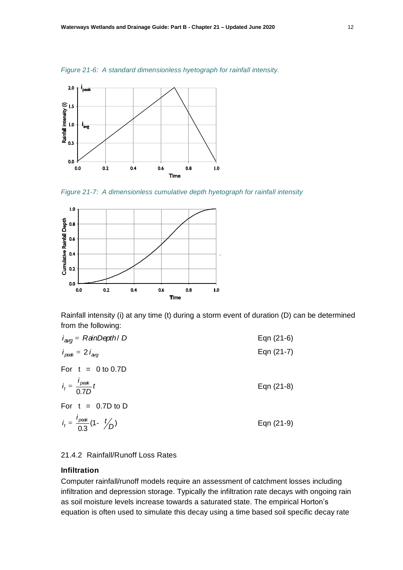*Figure 21-6: A standard dimensionless hyetograph for rainfall intensity.*



*Figure 21-7: A dimensionless cumulative depth hyetograph for rainfall intensity*



Rainfall intensity (i) at any time (t) during a storm event of duration (D) can be determined from the following:

| $i_{\text{avg}}$ = RainDepth/ D                | Eqn (21-6) |
|------------------------------------------------|------------|
| $i_{\text{peak}} = 2 i_{\text{avg}}$           | Eqn (21-7) |
| For $t = 0$ to 0.7D                            |            |
| $i_t = \frac{i_{peak}}{0.7D}t$                 | Eqn (21-8) |
| For $t = 0.7D$ to D                            |            |
| $i_t = \frac{i_{peak}}{0.3} (1 - \frac{t}{D})$ | Eqn (21-9) |

# 21.4.2 Rainfall/Runoff Loss Rates

# **Infiltration**

Computer rainfall/runoff models require an assessment of catchment losses including infiltration and depression storage. Typically the infiltration rate decays with ongoing rain as soil moisture levels increase towards a saturated state. The empirical Horton's equation is often used to simulate this decay using a time based soil specific decay rate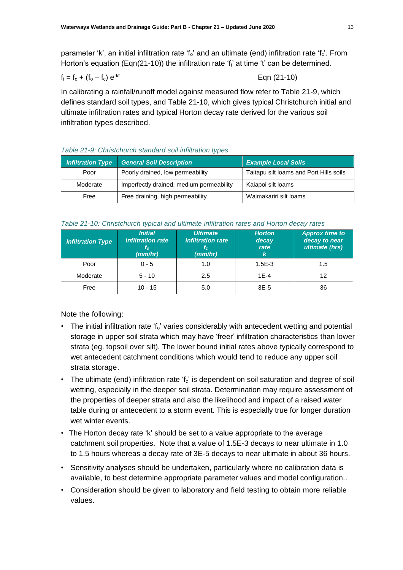parameter 'k', an initial infiltration rate 'f<sub>o</sub>' and an ultimate (end) infiltration rate 'f<sub>c</sub>'. From Horton's equation (Eqn(21-10)) the infiltration rate 'f<sub>t</sub>' at time 't' can be determined.

$$
f_t = f_c + (f_o - f_c) e^{-kt}
$$

$$
f_t = f_c + (f_o - f_c) e^{-kt}
$$
 Eqn (21-10)

In calibrating a rainfall/runoff model against measured flow refer to Table 21-9, which defines standard soil types, and Table 21-10, which gives typical Christchurch initial and ultimate infiltration rates and typical Horton decay rate derived for the various soil infiltration types described.

# *Table 21-9: Christchurch standard soil infiltration types*

| Infiltration Type | <b>General Soil Description</b>          | <b>Example Local Soils</b>              |
|-------------------|------------------------------------------|-----------------------------------------|
| Poor              | Poorly drained, low permeability         | Taitapu silt loams and Port Hills soils |
| Moderate          | Imperfectly drained, medium permeability | Kaiapoi silt loams                      |
| Free              | Free draining, high permeability         | Waimakariri silt loams                  |

## *Table 21-10: Christchurch typical and ultimate infiltration rates and Horton decay rates*

| <b>Infiltration Type</b> | <b>Initial</b><br>infiltration rate<br>$t_{o}$<br>(mm/hr) | <b>Ultimate</b><br>infiltration rate<br>t.<br>(mm/hr) | <b>Horton</b><br>decay<br>rate<br>k | <b>Approx time to</b><br>decay to near<br>ultimate (hrs) |
|--------------------------|-----------------------------------------------------------|-------------------------------------------------------|-------------------------------------|----------------------------------------------------------|
| Poor                     | $0 - 5$                                                   | 1.0                                                   | $1.5E-3$                            | 1.5                                                      |
| Moderate                 | $5 - 10$                                                  | 2.5                                                   | $1F-4$                              | 12                                                       |
| Free                     | $10 - 15$                                                 | 5.0                                                   | $3E-5$                              | 36                                                       |

Note the following:

- The initial infiltration rate 'f<sub>o</sub>' varies considerably with antecedent wetting and potential storage in upper soil strata which may have 'freer' infiltration characteristics than lower strata (eg. topsoil over silt). The lower bound initial rates above typically correspond to wet antecedent catchment conditions which would tend to reduce any upper soil strata storage.
- The ultimate (end) infiltration rate  $f_c$  is dependent on soil saturation and degree of soil wetting, especially in the deeper soil strata. Determination may require assessment of the properties of deeper strata and also the likelihood and impact of a raised water table during or antecedent to a storm event. This is especially true for longer duration wet winter events.
- The Horton decay rate 'k' should be set to a value appropriate to the average catchment soil properties. Note that a value of 1.5E-3 decays to near ultimate in 1.0 to 1.5 hours whereas a decay rate of 3E-5 decays to near ultimate in about 36 hours.
- Sensitivity analyses should be undertaken, particularly where no calibration data is available, to best determine appropriate parameter values and model configuration..
- Consideration should be given to laboratory and field testing to obtain more reliable values.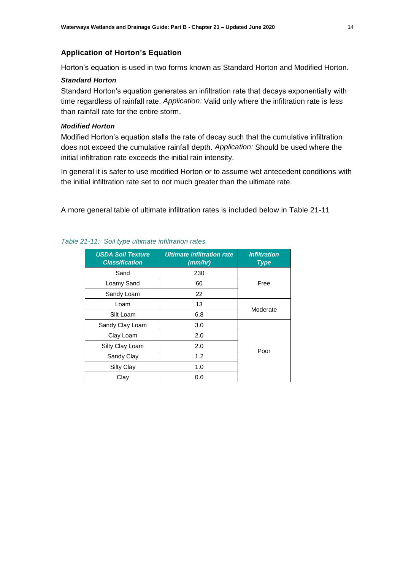### **Application of Horton's Equation**

Horton's equation is used in two forms known as Standard Horton and Modified Horton.

### *Standard Horton*

Standard Horton's equation generates an infiltration rate that decays exponentially with time regardless of rainfall rate. *Application:* Valid only where the infiltration rate is less than rainfall rate for the entire storm.

# *Modified Horton*

Modified Horton's equation stalls the rate of decay such that the cumulative infiltration does not exceed the cumulative rainfall depth. *Application:* Should be used where the initial infiltration rate exceeds the initial rain intensity.

In general it is safer to use modified Horton or to assume wet antecedent conditions with the initial infiltration rate set to not much greater than the ultimate rate.

A more general table of ultimate infiltration rates is included below in Table 21-11

| <b>USDA Soil Texture</b><br><b>Classification</b> | <b>Ultimate infiltration rate</b><br>(mm/hr) | <b>Infiltration</b><br><b>Type</b> |  |  |
|---------------------------------------------------|----------------------------------------------|------------------------------------|--|--|
| Sand                                              | 230                                          | Free                               |  |  |
| Loamy Sand                                        | 60                                           |                                    |  |  |
| Sandy Loam                                        | 22                                           |                                    |  |  |
| Loam                                              | 13                                           | Moderate                           |  |  |
| Silt Loam                                         | 6.8                                          |                                    |  |  |
| Sandy Clay Loam                                   | 3.0                                          |                                    |  |  |
| Clay Loam                                         | 2.0                                          |                                    |  |  |
| Silty Clay Loam                                   | 2.0                                          | Poor                               |  |  |
| Sandy Clay                                        | 1.2                                          |                                    |  |  |
| <b>Silty Clay</b>                                 | 1.0                                          |                                    |  |  |
| Clay                                              | 0.6                                          |                                    |  |  |

# *Table 21-11: Soil type ultimate infiltration rates.*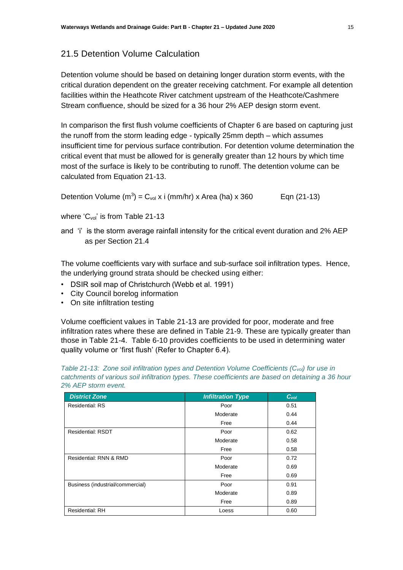# 21.5 Detention Volume Calculation

Detention volume should be based on detaining longer duration storm events, with the critical duration dependent on the greater receiving catchment. For example all detention facilities within the Heathcote River catchment upstream of the Heathcote/Cashmere Stream confluence, should be sized for a 36 hour 2% AEP design storm event.

In comparison the first flush volume coefficients of Chapter 6 are based on capturing just the runoff from the storm leading edge - typically 25mm depth – which assumes insufficient time for pervious surface contribution. For detention volume determination the critical event that must be allowed for is generally greater than 12 hours by which time most of the surface is likely to be contributing to runoff. The detention volume can be calculated from Equation 21-13.

Detention Volume  $(m^3) = C_{vol} x$  i (mm/hr) x Area (ha) x 360 Eqn (21-13)

where  $^{\prime}$ C<sub>vol</sub>' is from Table 21-13

and 'i' is the storm average rainfall intensity for the critical event duration and 2% AEP as per Section 21.4

The volume coefficients vary with surface and sub-surface soil infiltration types. Hence, the underlying ground strata should be checked using either:

- DSIR soil map of Christchurch (Webb et al. 1991)
- City Council borelog information
- On site infiltration testing

Volume coefficient values in Table 21-13 are provided for poor, moderate and free infiltration rates where these are defined in Table 21-9. These are typically greater than those in Table 21-4. Table 6-10 provides coefficients to be used in determining water quality volume or 'first flush' (Refer to Chapter 6.4).

| <b>District Zone</b>             | <b>Infiltration Type</b> | C <sub>vol</sub> |
|----------------------------------|--------------------------|------------------|
| <b>Residential: RS</b>           | Poor                     | 0.51             |
|                                  | Moderate                 | 0.44             |
|                                  | Free                     | 0.44             |
| <b>Residential: RSDT</b>         | Poor                     | 0.62             |
|                                  | Moderate                 | 0.58             |
|                                  | Free                     | 0.58             |
| Residential: RNN & RMD           | Poor                     | 0.72             |
|                                  | Moderate                 | 0.69             |
|                                  | Free                     | 0.69             |
| Business (industrial/commercial) | Poor                     | 0.91             |
|                                  | Moderate                 | 0.89             |
|                                  | Free                     | 0.89             |
| <b>Residential: RH</b>           | Loess                    | 0.60             |

*Table 21-13: Zone soil infiltration types and Detention Volume Coefficients (Cvol) for use in catchments of various soil infiltration types. These coefficients are based on detaining a 36 hour 2% AEP storm event.*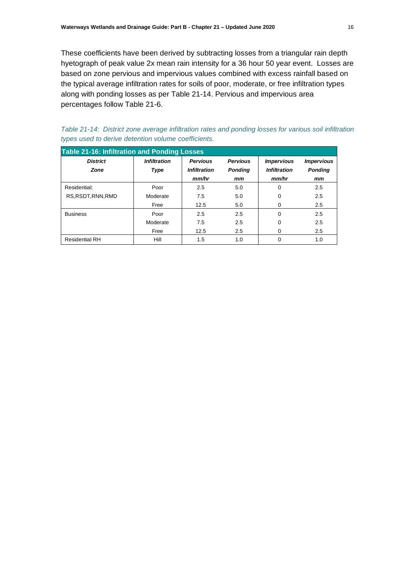These coefficients have been derived by subtracting losses from a triangular rain depth hyetograph of peak value 2x mean rain intensity for a 36 hour 50 year event. Losses are based on zone pervious and impervious values combined with excess rainfall based on the typical average infiltration rates for soils of poor, moderate, or free infiltration types along with ponding losses as per Table 21-14. Pervious and impervious area percentages follow Table 21-6.

| Table 21-14: District zone average infiltration rates and ponding losses for various soil infiltration |  |  |  |  |  |  |  |
|--------------------------------------------------------------------------------------------------------|--|--|--|--|--|--|--|
| types used to derive detention volume coefficients.                                                    |  |  |  |  |  |  |  |

| <b>Table 21-16: Infiltration and Ponding Losses</b> |                             |                                                 |                                         |                                                   |                                                  |  |  |  |  |
|-----------------------------------------------------|-----------------------------|-------------------------------------------------|-----------------------------------------|---------------------------------------------------|--------------------------------------------------|--|--|--|--|
| <b>District</b><br><b>Zone</b>                      | <b>Infiltration</b><br>Type | <b>Pervious</b><br><b>Infiltration</b><br>mm/hr | <b>Pervious</b><br><b>Ponding</b><br>mm | <b>Impervious</b><br><b>Infiltration</b><br>mm/hr | <i><b>Impervious</b></i><br><b>Ponding</b><br>mm |  |  |  |  |
| Residential:                                        | Poor                        | 2.5                                             | 5.0                                     | 0                                                 | 2.5                                              |  |  |  |  |
| RS.RSDT.RNN.RMD                                     | Moderate                    | 7.5                                             | 5.0                                     | 0                                                 | 2.5                                              |  |  |  |  |
|                                                     | Free                        | 12.5                                            | 5.0                                     | 0                                                 | 2.5                                              |  |  |  |  |
| <b>Business</b>                                     | Poor                        | 2.5                                             | 2.5                                     | 0                                                 | 2.5                                              |  |  |  |  |
|                                                     | Moderate                    | 7.5                                             | 2.5                                     | 0                                                 | 2.5                                              |  |  |  |  |
|                                                     | Free                        | 12.5                                            | 2.5                                     | 0                                                 | 2.5                                              |  |  |  |  |
| <b>Residential RH</b>                               | Hill                        | 1.5                                             | 1.0                                     | 0                                                 | 1.0                                              |  |  |  |  |